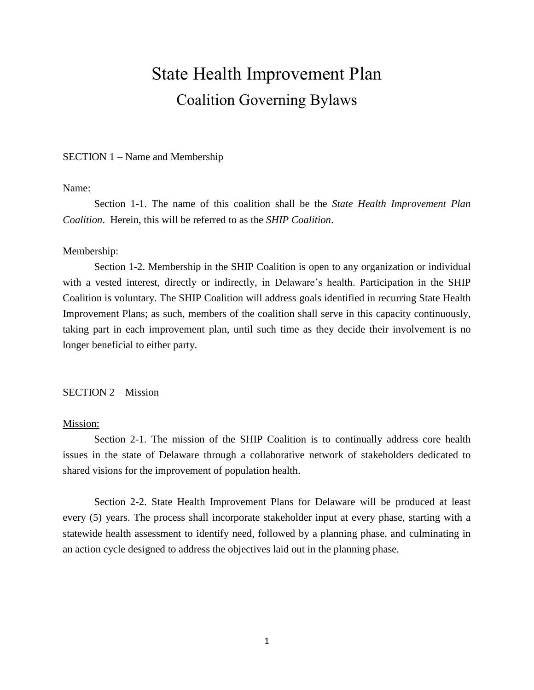# State Health Improvement Plan Coalition Governing Bylaws

### SECTION 1 – Name and Membership

#### Name:

Section 1-1. The name of this coalition shall be the *State Health Improvement Plan Coalition*. Herein, this will be referred to as the *SHIP Coalition*.

#### Membership:

Section 1-2. Membership in the SHIP Coalition is open to any organization or individual with a vested interest, directly or indirectly, in Delaware's health. Participation in the SHIP Coalition is voluntary. The SHIP Coalition will address goals identified in recurring State Health Improvement Plans; as such, members of the coalition shall serve in this capacity continuously, taking part in each improvement plan, until such time as they decide their involvement is no longer beneficial to either party.

# SECTION 2 – Mission

## Mission:

Section 2-1. The mission of the SHIP Coalition is to continually address core health issues in the state of Delaware through a collaborative network of stakeholders dedicated to shared visions for the improvement of population health.

Section 2-2. State Health Improvement Plans for Delaware will be produced at least every (5) years. The process shall incorporate stakeholder input at every phase, starting with a statewide health assessment to identify need, followed by a planning phase, and culminating in an action cycle designed to address the objectives laid out in the planning phase.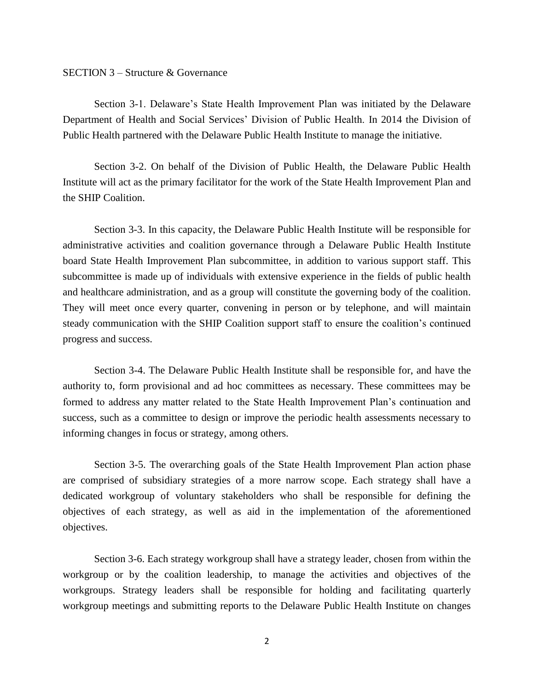## SECTION 3 – Structure & Governance

Section 3-1. Delaware's State Health Improvement Plan was initiated by the Delaware Department of Health and Social Services' Division of Public Health. In 2014 the Division of Public Health partnered with the Delaware Public Health Institute to manage the initiative.

Section 3-2. On behalf of the Division of Public Health, the Delaware Public Health Institute will act as the primary facilitator for the work of the State Health Improvement Plan and the SHIP Coalition.

Section 3-3. In this capacity, the Delaware Public Health Institute will be responsible for administrative activities and coalition governance through a Delaware Public Health Institute board State Health Improvement Plan subcommittee, in addition to various support staff. This subcommittee is made up of individuals with extensive experience in the fields of public health and healthcare administration, and as a group will constitute the governing body of the coalition. They will meet once every quarter, convening in person or by telephone, and will maintain steady communication with the SHIP Coalition support staff to ensure the coalition's continued progress and success.

Section 3-4. The Delaware Public Health Institute shall be responsible for, and have the authority to, form provisional and ad hoc committees as necessary. These committees may be formed to address any matter related to the State Health Improvement Plan's continuation and success, such as a committee to design or improve the periodic health assessments necessary to informing changes in focus or strategy, among others.

Section 3-5. The overarching goals of the State Health Improvement Plan action phase are comprised of subsidiary strategies of a more narrow scope. Each strategy shall have a dedicated workgroup of voluntary stakeholders who shall be responsible for defining the objectives of each strategy, as well as aid in the implementation of the aforementioned objectives.

Section 3-6. Each strategy workgroup shall have a strategy leader, chosen from within the workgroup or by the coalition leadership, to manage the activities and objectives of the workgroups. Strategy leaders shall be responsible for holding and facilitating quarterly workgroup meetings and submitting reports to the Delaware Public Health Institute on changes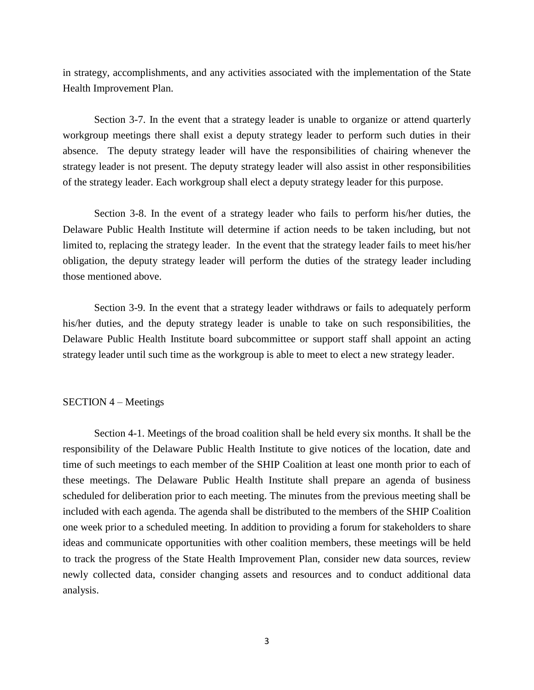in strategy, accomplishments, and any activities associated with the implementation of the State Health Improvement Plan.

Section 3-7. In the event that a strategy leader is unable to organize or attend quarterly workgroup meetings there shall exist a deputy strategy leader to perform such duties in their absence. The deputy strategy leader will have the responsibilities of chairing whenever the strategy leader is not present. The deputy strategy leader will also assist in other responsibilities of the strategy leader. Each workgroup shall elect a deputy strategy leader for this purpose.

Section 3-8. In the event of a strategy leader who fails to perform his/her duties, the Delaware Public Health Institute will determine if action needs to be taken including, but not limited to, replacing the strategy leader. In the event that the strategy leader fails to meet his/her obligation, the deputy strategy leader will perform the duties of the strategy leader including those mentioned above.

Section 3-9. In the event that a strategy leader withdraws or fails to adequately perform his/her duties, and the deputy strategy leader is unable to take on such responsibilities, the Delaware Public Health Institute board subcommittee or support staff shall appoint an acting strategy leader until such time as the workgroup is able to meet to elect a new strategy leader.

# SECTION 4 – Meetings

Section 4-1. Meetings of the broad coalition shall be held every six months. It shall be the responsibility of the Delaware Public Health Institute to give notices of the location, date and time of such meetings to each member of the SHIP Coalition at least one month prior to each of these meetings. The Delaware Public Health Institute shall prepare an agenda of business scheduled for deliberation prior to each meeting. The minutes from the previous meeting shall be included with each agenda. The agenda shall be distributed to the members of the SHIP Coalition one week prior to a scheduled meeting. In addition to providing a forum for stakeholders to share ideas and communicate opportunities with other coalition members, these meetings will be held to track the progress of the State Health Improvement Plan, consider new data sources, review newly collected data, consider changing assets and resources and to conduct additional data analysis.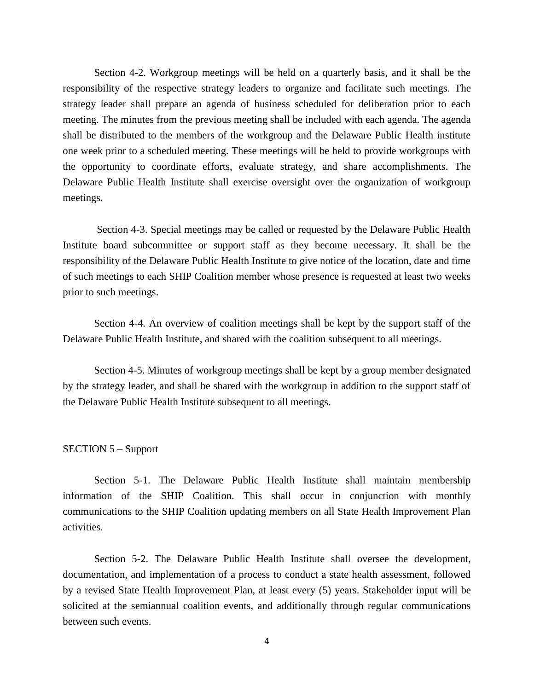Section 4-2. Workgroup meetings will be held on a quarterly basis, and it shall be the responsibility of the respective strategy leaders to organize and facilitate such meetings. The strategy leader shall prepare an agenda of business scheduled for deliberation prior to each meeting. The minutes from the previous meeting shall be included with each agenda. The agenda shall be distributed to the members of the workgroup and the Delaware Public Health institute one week prior to a scheduled meeting. These meetings will be held to provide workgroups with the opportunity to coordinate efforts, evaluate strategy, and share accomplishments. The Delaware Public Health Institute shall exercise oversight over the organization of workgroup meetings.

Section 4-3. Special meetings may be called or requested by the Delaware Public Health Institute board subcommittee or support staff as they become necessary. It shall be the responsibility of the Delaware Public Health Institute to give notice of the location, date and time of such meetings to each SHIP Coalition member whose presence is requested at least two weeks prior to such meetings.

Section 4-4. An overview of coalition meetings shall be kept by the support staff of the Delaware Public Health Institute, and shared with the coalition subsequent to all meetings.

Section 4-5. Minutes of workgroup meetings shall be kept by a group member designated by the strategy leader, and shall be shared with the workgroup in addition to the support staff of the Delaware Public Health Institute subsequent to all meetings.

#### SECTION 5 – Support

Section 5-1. The Delaware Public Health Institute shall maintain membership information of the SHIP Coalition. This shall occur in conjunction with monthly communications to the SHIP Coalition updating members on all State Health Improvement Plan activities.

Section 5-2. The Delaware Public Health Institute shall oversee the development, documentation, and implementation of a process to conduct a state health assessment, followed by a revised State Health Improvement Plan, at least every (5) years. Stakeholder input will be solicited at the semiannual coalition events, and additionally through regular communications between such events.